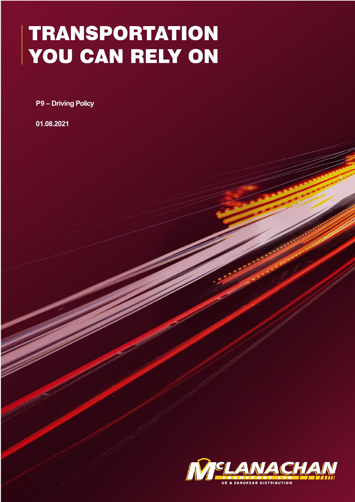# **TRANSPORTATION** YOU CAN RELY ON

P9 - Driving Policy

01.08.2021

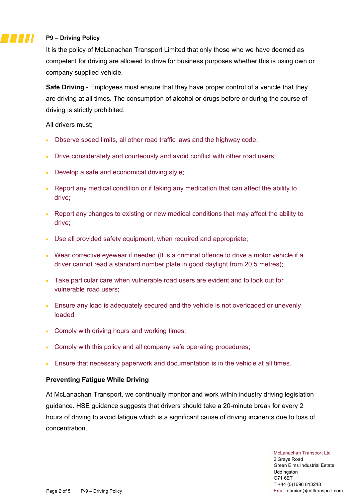# **P9 – Driving Policy**

77 J J J

It is the policy of McLanachan Transport Limited that only those who we have deemed as competent for driving are allowed to drive for business purposes whether this is using own or company supplied vehicle.

**Safe Driving** - Employees must ensure that they have proper control of a vehicle that they are driving at all times. The consumption of alcohol or drugs before or during the course of driving is strictly prohibited.

All drivers must;

- Observe speed limits, all other road traffic laws and the highway code;
- Drive considerately and courteously and avoid conflict with other road users;
- Develop a safe and economical driving style;
- Report any medical condition or if taking any medication that can affect the ability to drive;
- Report any changes to existing or new medical conditions that may affect the ability to drive;
- Use all provided safety equipment, when required and appropriate;
- Wear corrective eyewear if needed (It is a criminal offence to drive a motor vehicle if a driver cannot read a standard number plate in good daylight from 20.5 metres);
- Take particular care when vulnerable road users are evident and to look out for vulnerable road users;
- Ensure any load is adequately secured and the vehicle is not overloaded or unevenly loaded;
- Comply with driving hours and working times:
- Comply with this policy and all company safe operating procedures;
- Ensure that necessary paperwork and documentation is in the vehicle at all times.

## **Preventing Fatigue While Driving**

At McLanachan Transport, we continually monitor and work within industry driving legislation guidance. HSE guidance suggests that drivers should take a 20-minute break for every 2 hours of driving to avoid fatigue which is a significant cause of driving incidents due to loss of concentration.

> McLanachan Transport Ltd 2 Grays Road Green Elms Industrial Estate Uddingston G71 6ET T +44 (0)1698 813248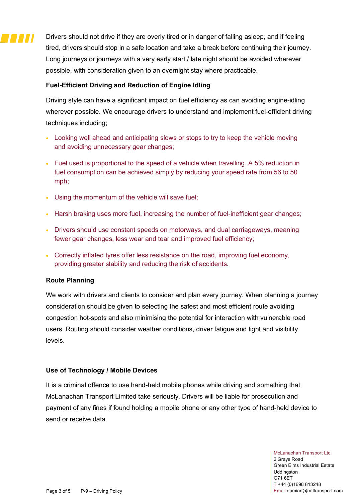Drivers should not drive if they are overly tired or in danger of falling asleep, and if feeling tired, drivers should stop in a safe location and take a break before continuing their journey. Long journeys or journeys with a very early start / late night should be avoided wherever possible, with consideration given to an overnight stay where practicable.

# **Fuel-Efficient Driving and Reduction of Engine Idling**

Driving style can have a significant impact on fuel efficiency as can avoiding engine-idling wherever possible. We encourage drivers to understand and implement fuel-efficient driving techniques including;

- Looking well ahead and anticipating slows or stops to try to keep the vehicle moving and avoiding unnecessary gear changes;
- Fuel used is proportional to the speed of a vehicle when travelling. A 5% reduction in fuel consumption can be achieved simply by reducing your speed rate from 56 to 50 mph;
- Using the momentum of the vehicle will save fuel;
- Harsh braking uses more fuel, increasing the number of fuel-inefficient gear changes;
- Drivers should use constant speeds on motorways, and dual carriageways, meaning fewer gear changes, less wear and tear and improved fuel efficiency;
- Correctly inflated tyres offer less resistance on the road, improving fuel economy, providing greater stability and reducing the risk of accidents.

# **Route Planning**

77 J J J

We work with drivers and clients to consider and plan every journey. When planning a journey consideration should be given to selecting the safest and most efficient route avoiding congestion hot-spots and also minimising the potential for interaction with vulnerable road users. Routing should consider weather conditions, driver fatigue and light and visibility levels.

# **Use of Technology / Mobile Devices**

It is a criminal offence to use hand-held mobile phones while driving and something that McLanachan Transport Limited take seriously. Drivers will be liable for prosecution and payment of any fines if found holding a mobile phone or any other type of hand-held device to send or receive data.

McLanachan Transport Ltd 2 Grays Road Green Elms Industrial Estate Uddingston G71 6ET T +44 (0)1698 813248 Page 3 of 5 P-9 – Driving Policy Email damian@mtltransport.com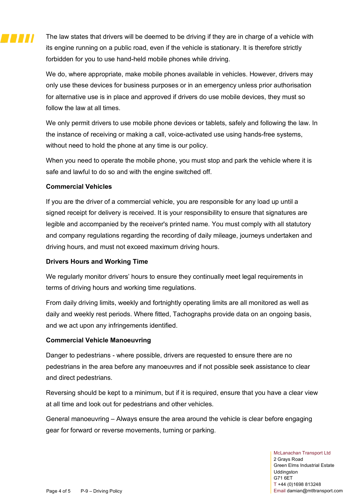The law states that drivers will be deemed to be driving if they are in charge of a vehicle with its engine running on a public road, even if the vehicle is stationary. It is therefore strictly forbidden for you to use hand-held mobile phones while driving.

We do, where appropriate, make mobile phones available in vehicles. However, drivers may only use these devices for business purposes or in an emergency unless prior authorisation for alternative use is in place and approved if drivers do use mobile devices, they must so follow the law at all times.

We only permit drivers to use mobile phone devices or tablets, safely and following the law. In the instance of receiving or making a call, voice-activated use using hands-free systems, without need to hold the phone at any time is our policy.

When you need to operate the mobile phone, you must stop and park the vehicle where it is safe and lawful to do so and with the engine switched off.

# **Commercial Vehicles**

77 J J J

If you are the driver of a commercial vehicle, you are responsible for any load up until a signed receipt for delivery is received. It is your responsibility to ensure that signatures are legible and accompanied by the receiver's printed name. You must comply with all statutory and company regulations regarding the recording of daily mileage, journeys undertaken and driving hours, and must not exceed maximum driving hours.

# **Drivers Hours and Working Time**

We regularly monitor drivers' hours to ensure they continually meet legal requirements in terms of driving hours and working time regulations.

From daily driving limits, weekly and fortnightly operating limits are all monitored as well as daily and weekly rest periods. Where fitted, Tachographs provide data on an ongoing basis, and we act upon any infringements identified.

# **Commercial Vehicle Manoeuvring**

Danger to pedestrians - where possible, drivers are requested to ensure there are no pedestrians in the area before any manoeuvres and if not possible seek assistance to clear and direct pedestrians.

Reversing should be kept to a minimum, but if it is required, ensure that you have a clear view at all time and look out for pedestrians and other vehicles.

General manoeuvring – Always ensure the area around the vehicle is clear before engaging gear for forward or reverse movements, turning or parking.

McLanachan Transport Ltd 2 Grays Road Green Elms Industrial Estate Uddingston G71 6ET T +44 (0)1698 813248 Page 4 of 5 P-9 – Driving Policy Email damian@mtltransport.com